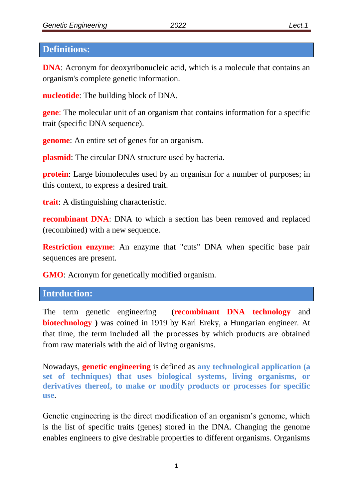#### **Definitions:**

**DNA**: Acronym for deoxyribonucleic acid, which is a molecule that contains an organism's complete genetic information.

**nucleotide**: The building block of DNA.

**gene**: The molecular unit of an organism that contains information for a specific trait (specific DNA sequence).

**genome**: An entire set of genes for an organism.

**plasmid**: The circular DNA structure used by bacteria.

**protein**: Large biomolecules used by an organism for a number of purposes; in this context, to express a desired trait.

**trait**: A distinguishing characteristic.

**recombinant DNA**: DNA to which a section has been removed and replaced (recombined) with a new sequence.

**Restriction enzyme**: An enzyme that "cuts" DNA when specific base pair sequences are present.

**GMO**: Acronym for genetically modified organism.

## **Intrduction:**

The term genetic engineering (**recombinant DNA technology** and **biotechnology )** was coined in 1919 by Karl Ereky, a Hungarian engineer. At that time, the term included all the processes by which products are obtained from raw materials with the aid of living organisms.

Nowadays, **genetic engineering** is defined as **any technological application (a set of techniques) that uses biological systems, living organisms, or derivatives thereof, to make or modify products or processes for specific use**.

Genetic engineering is the direct modification of an organism's genome, which is the list of specific traits (genes) stored in the DNA. Changing the genome enables engineers to give desirable properties to different organisms. Organisms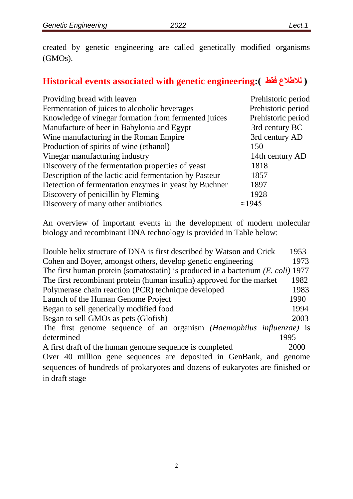created by genetic engineering are called genetically modified organisms (GMOs).

# **Historical events associated with genetic engineering:( فقط لالطالع(**

| Providing bread with leaven                            | Prehistoric period |
|--------------------------------------------------------|--------------------|
| Fermentation of juices to alcoholic beverages          | Prehistoric period |
| Knowledge of vinegar formation from fermented juices   | Prehistoric period |
| Manufacture of beer in Babylonia and Egypt             | 3rd century BC     |
| Wine manufacturing in the Roman Empire                 | 3rd century AD     |
| Production of spirits of wine (ethanol)                | 150                |
| Vinegar manufacturing industry                         | 14th century AD    |
| Discovery of the fermentation properties of yeast      | 1818               |
| Description of the lactic acid fermentation by Pasteur | 1857               |
| Detection of fermentation enzymes in yeast by Buchner  | 1897               |
| Discovery of penicillin by Fleming                     | 1928               |
| Discovery of many other antibiotics                    | $\approx$ 1945     |

An overview of important events in the development of modern molecular biology and recombinant DNA technology is provided in Table below:

| Double helix structure of DNA is first described by Watson and Crick             | 1953 |  |
|----------------------------------------------------------------------------------|------|--|
| Cohen and Boyer, amongst others, develop genetic engineering                     | 1973 |  |
| The first human protein (somatostatin) is produced in a bacterium (E. coli) 1977 |      |  |
| The first recombinant protein (human insulin) approved for the market            | 1982 |  |
| Polymerase chain reaction (PCR) technique developed                              | 1983 |  |
| Launch of the Human Genome Project                                               | 1990 |  |
| Began to sell genetically modified food                                          | 1994 |  |
| Began to sell GMOs as pets (Glofish)                                             | 2003 |  |
| The first genome sequence of an organism (Haemophilus influenzae) is             |      |  |
| determined                                                                       | 1995 |  |
| A first draft of the human genome sequence is completed                          | 2000 |  |
| Over 40 million gene sequences are deposited in GenBank, and genome              |      |  |
| sequences of hundreds of prokaryotes and dozens of eukaryotes are finished or    |      |  |
| in draft stage                                                                   |      |  |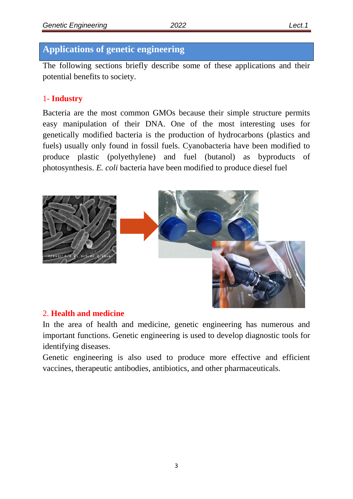## **Applications of genetic engineering**

The following sections briefly describe some of these applications and their potential benefits to society.

## 1- **Industry**

Bacteria are the most common GMOs because their simple structure permits easy manipulation of their DNA. One of the most interesting uses for genetically modified bacteria is the production of hydrocarbons (plastics and fuels) usually only found in fossil fuels. Cyanobacteria have been modified to produce plastic (polyethylene) and fuel (butanol) as byproducts of photosynthesis. *E. coli* bacteria have been modified to produce diesel fuel



## 2. **Health and medicine**

In the area of health and medicine, genetic engineering has numerous and important functions. Genetic engineering is used to develop diagnostic tools for identifying diseases.

Genetic engineering is also used to produce more effective and efficient vaccines, therapeutic antibodies, antibiotics, and other pharmaceuticals.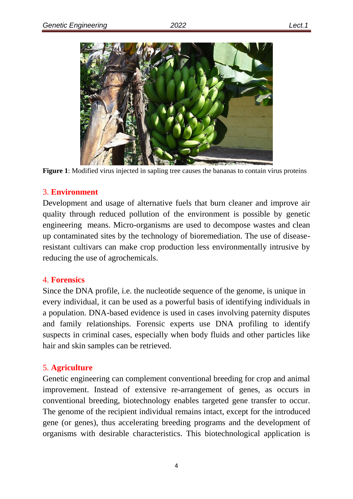

**Figure 1**: Modified virus injected in sapling tree causes the bananas to contain virus proteins

## 3. **Environment**

Development and usage of alternative fuels that burn cleaner and improve air quality through reduced pollution of the environment is possible by genetic engineering means. Micro-organisms are used to decompose wastes and clean up contaminated sites by the technology of bioremediation. The use of diseaseresistant cultivars can make crop production less environmentally intrusive by reducing the use of agrochemicals.

## 4. **Forensics**

Since the DNA profile, i.e. the nucleotide sequence of the genome, is unique in every individual, it can be used as a powerful basis of identifying individuals in a population. DNA-based evidence is used in cases involving paternity disputes and family relationships. Forensic experts use DNA profiling to identify suspects in criminal cases, especially when body fluids and other particles like hair and skin samples can be retrieved.

## 5. **Agriculture**

Genetic engineering can complement conventional breeding for crop and animal improvement. Instead of extensive re-arrangement of genes, as occurs in conventional breeding, biotechnology enables targeted gene transfer to occur. The genome of the recipient individual remains intact, except for the introduced gene (or genes), thus accelerating breeding programs and the development of organisms with desirable characteristics. This biotechnological application is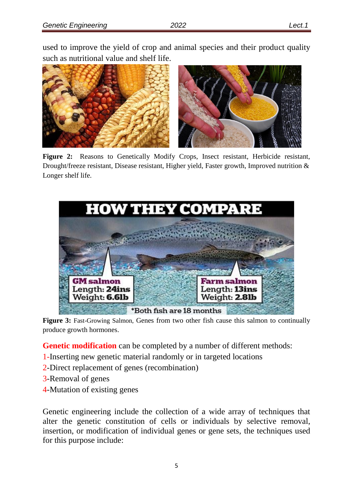used to improve the yield of crop and animal species and their product quality such as nutritional value and shelf life.



**Figure 2:** Reasons to Genetically Modify Crops, Insect resistant, Herbicide resistant, Drought/freeze resistant, Disease resistant, Higher yield, Faster growth, Improved nutrition & Longer shelf life.



Figure 3: Fast-Growing Salmon, Genes from two other fish cause this salmon to continually produce growth hormones.

**Genetic modification** can be completed by a number of different methods:

- 1-Inserting new genetic material randomly or in targeted locations
- 2-Direct replacement of genes (recombination)
- 3-Removal of genes
- 4-Mutation of existing genes

Genetic engineering include the collection of a wide array of techniques that alter the genetic constitution of cells or individuals by selective removal, insertion, or modification of individual genes or gene sets, the techniques used for this purpose include: